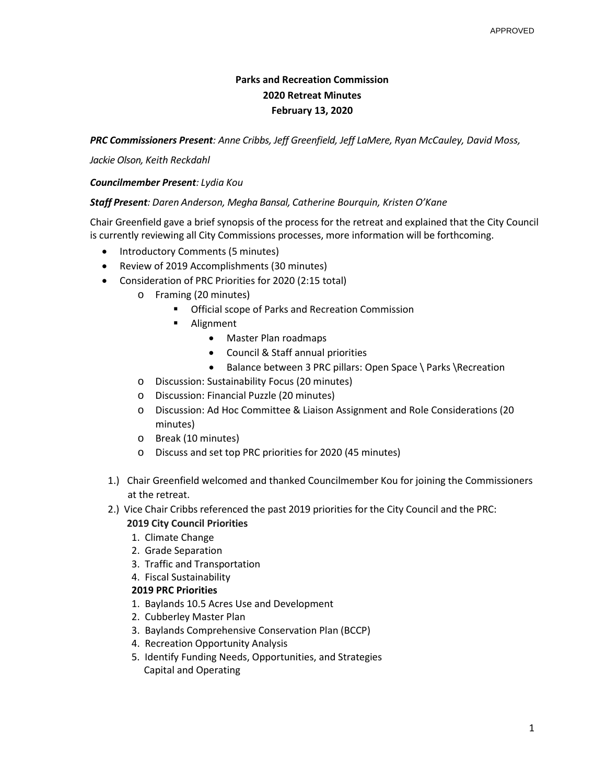# **Parks and Recreation Commission 2020 Retreat Minutes February 13, 2020**

*PRC Commissioners Present: Anne Cribbs, Jeff Greenfield, Jeff LaMere, Ryan McCauley, David Moss,*

*Jackie Olson, Keith Reckdahl*

## *Councilmember Present: Lydia Kou*

### *Staff Present: Daren Anderson, Megha Bansal, Catherine Bourquin, Kristen O'Kane*

Chair Greenfield gave a brief synopsis of the process for the retreat and explained that the City Council is currently reviewing all City Commissions processes, more information will be forthcoming.

- Introductory Comments (5 minutes)
- Review of 2019 Accomplishments (30 minutes)
- Consideration of PRC Priorities for 2020 (2:15 total)
	- o Framing (20 minutes)
		- **Official scope of Parks and Recreation Commission**
		- **Alignment** 
			- Master Plan roadmaps
			- Council & Staff annual priorities
			- Balance between 3 PRC pillars: Open Space \ Parks \Recreation
	- o Discussion: Sustainability Focus (20 minutes)
	- o Discussion: Financial Puzzle (20 minutes)
	- o Discussion: Ad Hoc Committee & Liaison Assignment and Role Considerations (20 minutes)
	- o Break (10 minutes)
	- o Discuss and set top PRC priorities for 2020 (45 minutes)
- 1.) Chair Greenfield welcomed and thanked Councilmember Kou for joining the Commissioners at the retreat.
- 2.) Vice Chair Cribbs referenced the past 2019 priorities for the City Council and the PRC:

### **2019 City Council Priorities**

- 1. Climate Change
- 2. Grade Separation
- 3. Traffic and Transportation
- 4. Fiscal Sustainability

### **2019 PRC Priorities**

- 1. Baylands 10.5 Acres Use and Development
- 2. Cubberley Master Plan
- 3. Baylands Comprehensive Conservation Plan (BCCP)
- 4. Recreation Opportunity Analysis
- 5. Identify Funding Needs, Opportunities, and Strategies Capital and Operating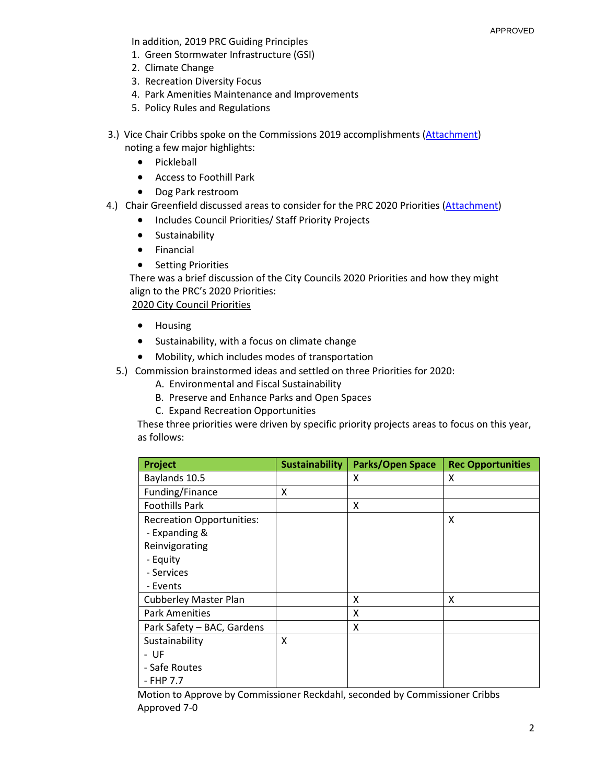In addition, 2019 PRC Guiding Principles

- 1. Green Stormwater Infrastructure (GSI)
- 2. Climate Change
- 3. Recreation Diversity Focus
- 4. Park Amenities Maintenance and Improvements
- 5. Policy Rules and Regulations
- 3.) Vice Chair Cribbs spoke on the Commissions 2019 accomplishments (Attachment) noting a few major highlights:
	- Pickleball
	- Access to Foothill Park
	- Dog Park restroom
- 4.) Chair Greenfield discussed areas to consider for the PRC 2020 Priorities (Attachment)
	- Includes Council Priorities/ Staff Priority Projects
	- Sustainability
	- Financial
	- Setting Priorities

 There was a brief discussion of the City Councils 2020 Priorities and how they might align to the PRC's 2020 Priorities:

2020 City Council Priorities

- Housing
- Sustainability, with a focus on climate change
- Mobility, which includes modes of transportation
- 5.) Commission brainstormed ideas and settled on three Priorities for 2020:
	- A. Environmental and Fiscal Sustainability
	- B. Preserve and Enhance Parks and Open Spaces
	- C. Expand Recreation Opportunities

These three priorities were driven by specific priority projects areas to focus on this year, as follows:

| Project                          | <b>Sustainability</b> | Parks/Open Space | <b>Rec Opportunities</b> |
|----------------------------------|-----------------------|------------------|--------------------------|
| Baylands 10.5                    |                       | X                | X                        |
| Funding/Finance                  | x                     |                  |                          |
| <b>Foothills Park</b>            |                       | X                |                          |
| <b>Recreation Opportunities:</b> |                       |                  | X                        |
| - Expanding &                    |                       |                  |                          |
| Reinvigorating                   |                       |                  |                          |
| - Equity                         |                       |                  |                          |
| - Services                       |                       |                  |                          |
| - Events                         |                       |                  |                          |
| <b>Cubberley Master Plan</b>     |                       | X                | x                        |
| <b>Park Amenities</b>            |                       | X                |                          |
| Park Safety - BAC, Gardens       |                       | X                |                          |
| Sustainability                   | X                     |                  |                          |
| - UF                             |                       |                  |                          |
| - Safe Routes                    |                       |                  |                          |
| - FHP 7.7                        |                       |                  |                          |

Motion to Approve by Commissioner Reckdahl, seconded by Commissioner Cribbs Approved 7-0